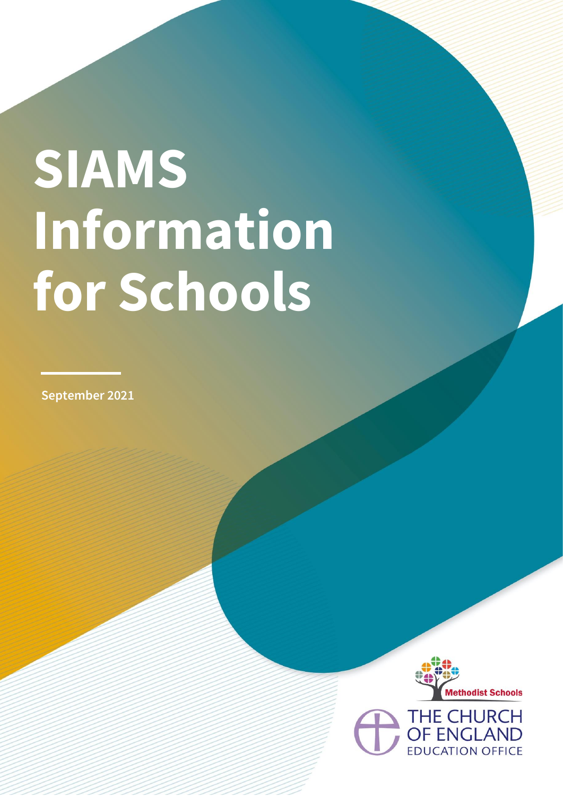# **SIAMS Information for Schools**

**September 2021**

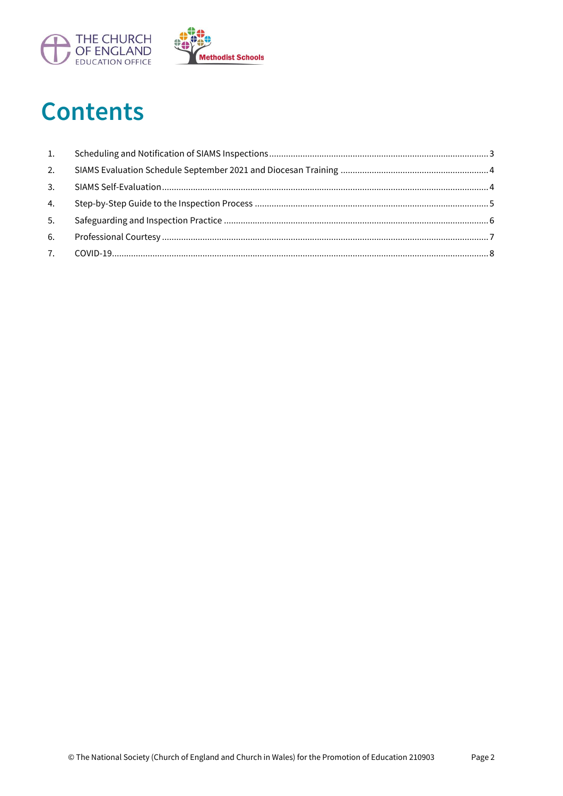

## **Contents**

| 1. |  |
|----|--|
| 2. |  |
| 3. |  |
| 4. |  |
| 5. |  |
| 6. |  |
|    |  |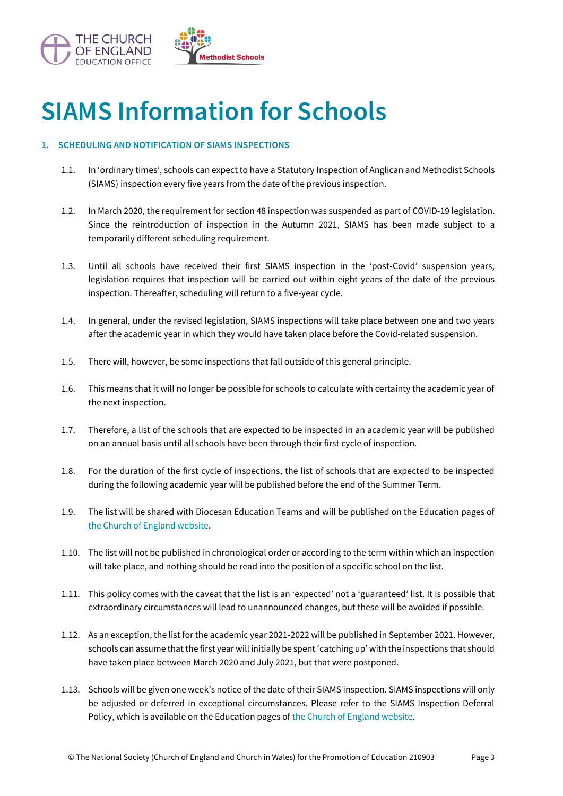

## **SIAMS Information for Schools**

### <span id="page-2-0"></span>**1. SCHEDULING AND NOTIFICATION OF SIAMS INSPECTIONS**

- 1.1. In 'ordinary times', schools can expect to have a Statutory Inspection of Anglican and Methodist Schools (SIAMS) inspection every five years from the date of the previous inspection.
- 1.2. In March 2020, the requirement for section 48 inspection was suspended as part of COVID-19 legislation. Since the reintroduction of inspection in the Autumn 2021, SIAMS has been made subject to a temporarily different scheduling requirement.
- 1.3. Until all schools have received their first SIAMS inspection in the 'post-Covid' suspension years, legislation requires that inspection will be carried out within eight years of the date of the previous inspection. Thereafter, scheduling will return to a five-year cycle.
- 1.4. In general, under the revised legislation, SIAMS inspections will take place between one and two years after the academic year in which they would have taken place before the Covid-related suspension.
- 1.5. There will, however, be some inspections that fall outside of this general principle.
- 1.6. This means that it will no longer be possible for schools to calculate with certainty the academic year of the next inspection.
- 1.7. Therefore, a list of the schools that are expected to be inspected in an academic year will be published on an annual basis until all schools have been through their first cycle of inspection.
- 1.8. For the duration of the first cycle of inspections, the list of schools that are expected to be inspected during the following academic year will be published before the end of the Summer Term.
- 1.9. The list will be shared with Diocesan Education Teams and will be published on the Education pages of [the Church of England website.](https://www.churchofengland.org/about/education-and-schools/church-schools-and-academies/siams-inspections)
- 1.10. The list will not be published in chronological order or according to the term within which an inspection will take place, and nothing should be read into the position of a specific school on the list.
- 1.11. This policy comes with the caveat that the list is an 'expected' not a 'guaranteed' list. It is possible that extraordinary circumstances will lead to unannounced changes, but these will be avoided if possible.
- 1.12. As an exception, the list for the academic year 2021-2022 will be published in September 2021. However, schools can assume that the first year will initially be spent 'catching up' with the inspections that should have taken place between March 2020 and July 2021, but that were postponed.
- 1.13. Schools will be given one week's notice of the date of their SIAMS inspection. SIAMS inspections will only be adjusted or deferred in exceptional circumstances. Please refer to the SIAMS Inspection Deferral Policy, which is available on the Education pages of [the Church of England website.](https://www.churchofengland.org/about/education-and-schools/church-schools-and-academies/siams-inspections)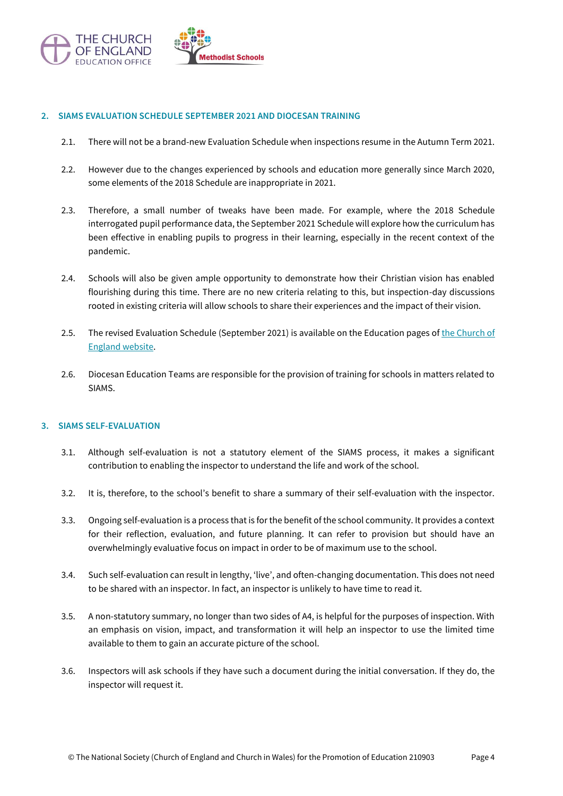

#### <span id="page-3-0"></span>**2. SIAMS EVALUATION SCHEDULE SEPTEMBER 2021 AND DIOCESAN TRAINING**

- 2.1. There will not be a brand-new Evaluation Schedule when inspections resume in the Autumn Term 2021.
- 2.2. However due to the changes experienced by schools and education more generally since March 2020, some elements of the 2018 Schedule are inappropriate in 2021.
- 2.3. Therefore, a small number of tweaks have been made. For example, where the 2018 Schedule interrogated pupil performance data, the September 2021 Schedule will explore how the curriculum has been effective in enabling pupils to progress in their learning, especially in the recent context of the pandemic.
- 2.4. Schools will also be given ample opportunity to demonstrate how their Christian vision has enabled flourishing during this time. There are no new criteria relating to this, but inspection-day discussions rooted in existing criteria will allow schools to share their experiences and the impact of their vision.
- 2.5. The revised Evaluation Schedule (September 2021) is available on the Education pages o[f the Church of](https://www.churchofengland.org/about/education-and-schools/church-schools-and-academies/siams-inspections) [England website.](https://www.churchofengland.org/about/education-and-schools/church-schools-and-academies/siams-inspections)
- 2.6. Diocesan Education Teams are responsible for the provision of training for schools in matters related to SIAMS.

#### <span id="page-3-1"></span>**3. SIAMS SELF-EVALUATION**

- 3.1. Although self-evaluation is not a statutory element of the SIAMS process, it makes a significant contribution to enabling the inspector to understand the life and work of the school.
- 3.2. It is, therefore, to the school's benefit to share a summary of their self-evaluation with the inspector.
- 3.3. Ongoing self-evaluation is a process that is for the benefit of the school community. It provides a context for their reflection, evaluation, and future planning. It can refer to provision but should have an overwhelmingly evaluative focus on impact in order to be of maximum use to the school.
- 3.4. Such self-evaluation can result in lengthy, 'live', and often-changing documentation. This does not need to be shared with an inspector. In fact, an inspector is unlikely to have time to read it.
- 3.5. A non-statutory summary, no longer than two sides of A4, is helpful for the purposes of inspection. With an emphasis on vision, impact, and transformation it will help an inspector to use the limited time available to them to gain an accurate picture of the school.
- 3.6. Inspectors will ask schools if they have such a document during the initial conversation. If they do, the inspector will request it.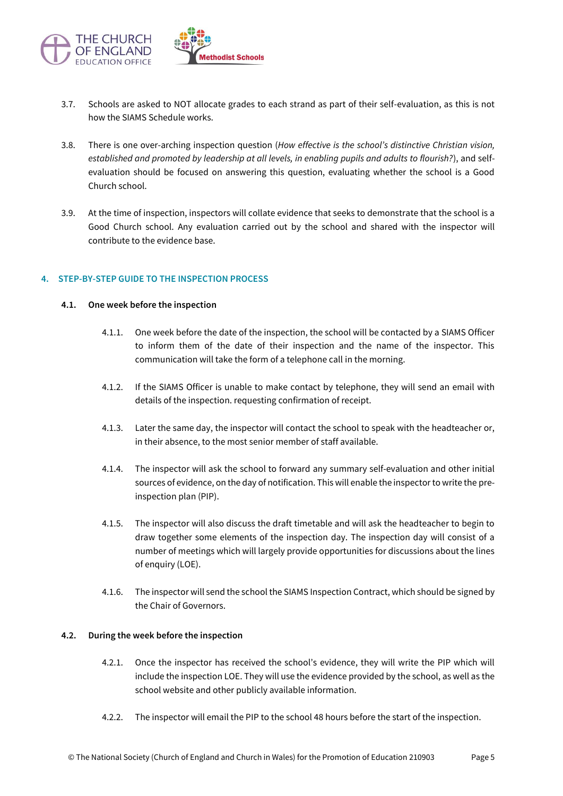

- 3.7. Schools are asked to NOT allocate grades to each strand as part of their self-evaluation, as this is not how the SIAMS Schedule works.
- 3.8. There is one over-arching inspection question (*How effective is the school's distinctive Christian vision, established and promoted by leadership at all levels, in enabling pupils and adults to flourish?*), and selfevaluation should be focused on answering this question, evaluating whether the school is a Good Church school.
- 3.9. At the time of inspection, inspectors will collate evidence that seeks to demonstrate that the school is a Good Church school. Any evaluation carried out by the school and shared with the inspector will contribute to the evidence base.

#### <span id="page-4-0"></span>**4. STEP-BY-STEP GUIDE TO THE INSPECTION PROCESS**

#### **4.1. One week before the inspection**

- 4.1.1. One week before the date of the inspection, the school will be contacted by a SIAMS Officer to inform them of the date of their inspection and the name of the inspector. This communication will take the form of a telephone call in the morning.
- 4.1.2. If the SIAMS Officer is unable to make contact by telephone, they will send an email with details of the inspection. requesting confirmation of receipt.
- 4.1.3. Later the same day, the inspector will contact the school to speak with the headteacher or, in their absence, to the most senior member of staff available.
- 4.1.4. The inspector will ask the school to forward any summary self-evaluation and other initial sources of evidence, on the day of notification. This will enable the inspector to write the preinspection plan (PIP).
- 4.1.5. The inspector will also discuss the draft timetable and will ask the headteacher to begin to draw together some elements of the inspection day. The inspection day will consist of a number of meetings which will largely provide opportunities for discussions about the lines of enquiry (LOE).
- 4.1.6. The inspector will send the school the SIAMS Inspection Contract, which should be signed by the Chair of Governors.

#### **4.2. During the week before the inspection**

- 4.2.1. Once the inspector has received the school's evidence, they will write the PIP which will include the inspection LOE. They will use the evidence provided by the school, as well as the school website and other publicly available information.
- 4.2.2. The inspector will email the PIP to the school 48 hours before the start of the inspection.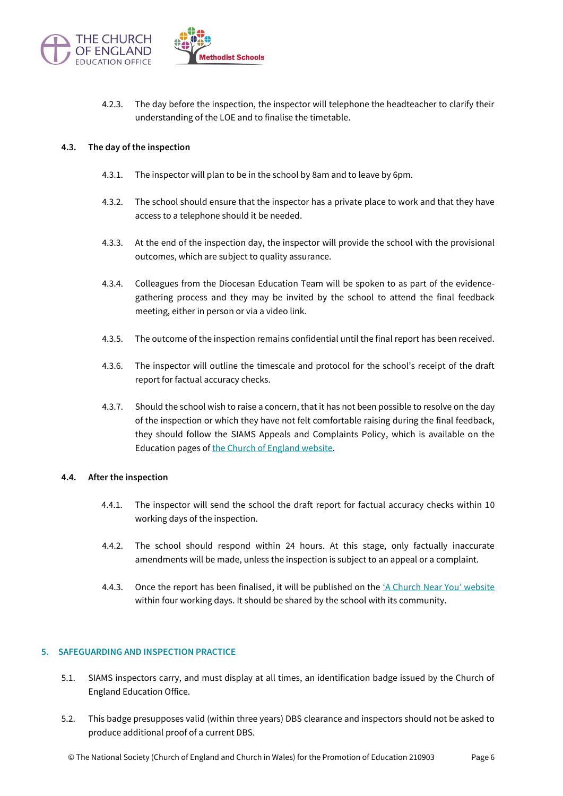

4.2.3. The day before the inspection, the inspector will telephone the headteacher to clarify their understanding of the LOE and to finalise the timetable.

#### **4.3. The day of the inspection**

- 4.3.1. The inspector will plan to be in the school by 8am and to leave by 6pm.
- 4.3.2. The school should ensure that the inspector has a private place to work and that they have access to a telephone should it be needed.
- 4.3.3. At the end of the inspection day, the inspector will provide the school with the provisional outcomes, which are subject to quality assurance.
- 4.3.4. Colleagues from the Diocesan Education Team will be spoken to as part of the evidencegathering process and they may be invited by the school to attend the final feedback meeting, either in person or via a video link.
- 4.3.5. The outcome of the inspection remains confidential until the final report has been received.
- 4.3.6. The inspector will outline the timescale and protocol for the school's receipt of the draft report for factual accuracy checks.
- 4.3.7. Should the school wish to raise a concern, that it has not been possible to resolve on the day of the inspection or which they have not felt comfortable raising during the final feedback, they should follow the SIAMS Appeals and Complaints Policy, which is available on the Education pages o[f the Church of England website.](https://www.churchofengland.org/about/education-and-schools/church-schools-and-academies/siams-inspections)

#### **4.4. After the inspection**

- 4.4.1. The inspector will send the school the draft report for factual accuracy checks within 10 working days of the inspection.
- 4.4.2. The school should respond within 24 hours. At this stage, only factually inaccurate amendments will be made, unless the inspection is subject to an appeal or a complaint.
- 4.4.3. Once the report has been finalised, it will be published on the ['A Church Near You' website](https://www.achurchnearyou.com/) within four working days. It should be shared by the school with its community.

#### <span id="page-5-0"></span>**5. SAFEGUARDING AND INSPECTION PRACTICE**

- 5.1. SIAMS inspectors carry, and must display at all times, an identification badge issued by the Church of England Education Office.
- 5.2. This badge presupposes valid (within three years) DBS clearance and inspectors should not be asked to produce additional proof of a current DBS.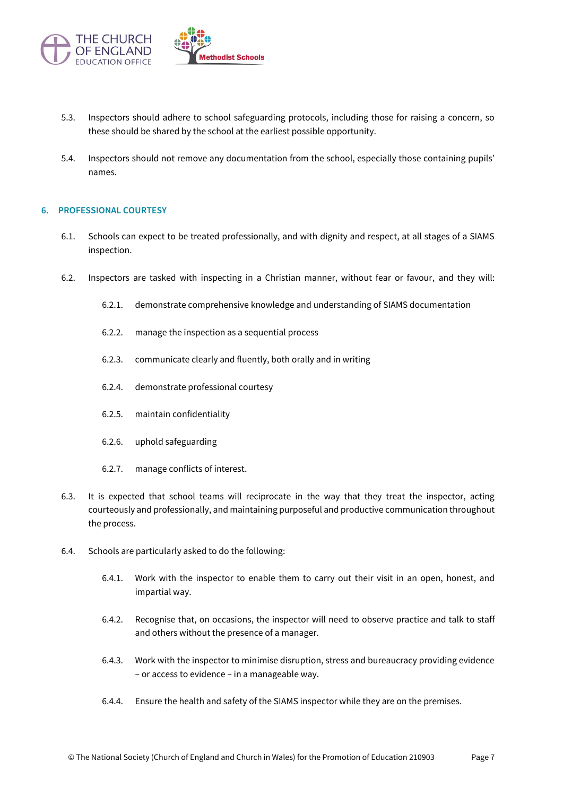

- 5.3. Inspectors should adhere to school safeguarding protocols, including those for raising a concern, so these should be shared by the school at the earliest possible opportunity.
- 5.4. Inspectors should not remove any documentation from the school, especially those containing pupils' names.

#### <span id="page-6-0"></span>**6. PROFESSIONAL COURTESY**

- 6.1. Schools can expect to be treated professionally, and with dignity and respect, at all stages of a SIAMS inspection.
- 6.2. Inspectors are tasked with inspecting in a Christian manner, without fear or favour, and they will:
	- 6.2.1. demonstrate comprehensive knowledge and understanding of SIAMS documentation
	- 6.2.2. manage the inspection as a sequential process
	- 6.2.3. communicate clearly and fluently, both orally and in writing
	- 6.2.4. demonstrate professional courtesy
	- 6.2.5. maintain confidentiality
	- 6.2.6. uphold safeguarding
	- 6.2.7. manage conflicts of interest.
- 6.3. It is expected that school teams will reciprocate in the way that they treat the inspector, acting courteously and professionally, and maintaining purposeful and productive communication throughout the process.
- 6.4. Schools are particularly asked to do the following:
	- 6.4.1. Work with the inspector to enable them to carry out their visit in an open, honest, and impartial way.
	- 6.4.2. Recognise that, on occasions, the inspector will need to observe practice and talk to staff and others without the presence of a manager.
	- 6.4.3. Work with the inspector to minimise disruption, stress and bureaucracy providing evidence – or access to evidence – in a manageable way.
	- 6.4.4. Ensure the health and safety of the SIAMS inspector while they are on the premises.